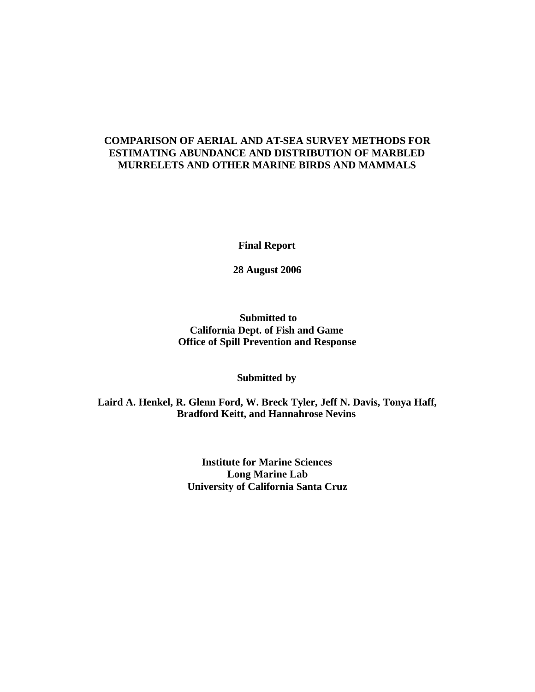# **COMPARISON OF AERIAL AND AT-SEA SURVEY METHODS FOR ESTIMATING ABUNDANCE AND DISTRIBUTION OF MARBLED MURRELETS AND OTHER MARINE BIRDS AND MAMMALS**

**Final Report**

**28 August 2006**

## **Submitted to California Dept. of Fish and Game Office of Spill Prevention and Response**

## **Submitted by**

## **Laird A. Henkel, R. Glenn Ford, W. Breck Tyler, Jeff N. Davis, Tonya Haff, Bradford Keitt, and Hannahrose Nevins**

**Institute for Marine Sciences Long Marine Lab University of California Santa Cruz**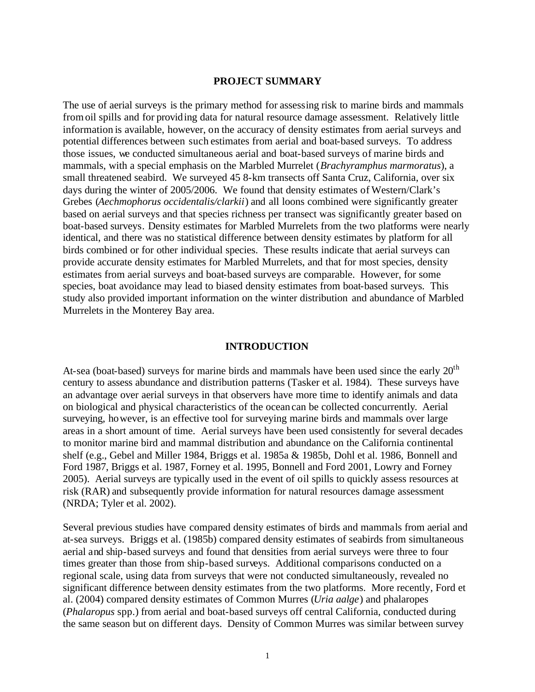### **PROJECT SUMMARY**

The use of aerial surveys is the primary method for assessing risk to marine birds and mammals from oil spills and for providing data for natural resource damage assessment. Relatively little information is available, however, on the accuracy of density estimates from aerial surveys and potential differences between such estimates from aerial and boat-based surveys. To address those issues, we conducted simultaneous aerial and boat-based surveys of marine birds and mammals, with a special emphasis on the Marbled Murrelet (*Brachyramphus marmoratus*), a small threatened seabird. We surveyed 45 8-km transects off Santa Cruz, California, over six days during the winter of 2005/2006. We found that density estimates of Western/Clark's Grebes (*Aechmophorus occidentalis/clarkii*) and all loons combined were significantly greater based on aerial surveys and that species richness per transect was significantly greater based on boat-based surveys. Density estimates for Marbled Murrelets from the two platforms were nearly identical, and there was no statistical difference between density estimates by platform for all birds combined or for other individual species. These results indicate that aerial surveys can provide accurate density estimates for Marbled Murrelets, and that for most species, density estimates from aerial surveys and boat-based surveys are comparable. However, for some species, boat avoidance may lead to biased density estimates from boat-based surveys. This study also provided important information on the winter distribution and abundance of Marbled Murrelets in the Monterey Bay area.

### **INTRODUCTION**

At-sea (boat-based) surveys for marine birds and mammals have been used since the early  $20<sup>th</sup>$ century to assess abundance and distribution patterns (Tasker et al. 1984). These surveys have an advantage over aerial surveys in that observers have more time to identify animals and data on biological and physical characteristics of the ocean can be collected concurrently. Aerial surveying, however, is an effective tool for surveying marine birds and mammals over large areas in a short amount of time. Aerial surveys have been used consistently for several decades to monitor marine bird and mammal distribution and abundance on the California continental shelf (e.g., Gebel and Miller 1984, Briggs et al. 1985a & 1985b, Dohl et al. 1986, Bonnell and Ford 1987, Briggs et al. 1987, Forney et al. 1995, Bonnell and Ford 2001, Lowry and Forney 2005). Aerial surveys are typically used in the event of oil spills to quickly assess resources at risk (RAR) and subsequently provide information for natural resources damage assessment (NRDA; Tyler et al. 2002).

Several previous studies have compared density estimates of birds and mammals from aerial and at-sea surveys. Briggs et al. (1985b) compared density estimates of seabirds from simultaneous aerial and ship-based surveys and found that densities from aerial surveys were three to four times greater than those from ship-based surveys. Additional comparisons conducted on a regional scale, using data from surveys that were not conducted simultaneously, revealed no significant difference between density estimates from the two platforms. More recently, Ford et al. (2004) compared density estimates of Common Murres (*Uria aalge*) and phalaropes (*Phalaropus* spp.) from aerial and boat-based surveys off central California, conducted during the same season but on different days. Density of Common Murres was similar between survey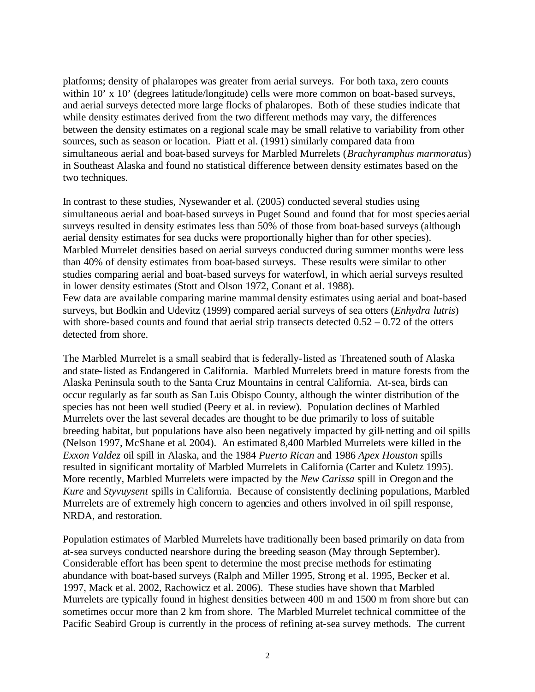platforms; density of phalaropes was greater from aerial surveys. For both taxa, zero counts within 10' x 10' (degrees latitude/longitude) cells were more common on boat-based surveys, and aerial surveys detected more large flocks of phalaropes. Both of these studies indicate that while density estimates derived from the two different methods may vary, the differences between the density estimates on a regional scale may be small relative to variability from other sources, such as season or location. Piatt et al. (1991) similarly compared data from simultaneous aerial and boat-based surveys for Marbled Murrelets (*Brachyramphus marmoratus*) in Southeast Alaska and found no statistical difference between density estimates based on the two techniques.

In contrast to these studies, Nysewander et al. (2005) conducted several studies using simultaneous aerial and boat-based surveys in Puget Sound and found that for most species aerial surveys resulted in density estimates less than 50% of those from boat-based surveys (although aerial density estimates for sea ducks were proportionally higher than for other species). Marbled Murrelet densities based on aerial surveys conducted during summer months were less than 40% of density estimates from boat-based surveys. These results were similar to other studies comparing aerial and boat-based surveys for waterfowl, in which aerial surveys resulted in lower density estimates (Stott and Olson 1972, Conant et al. 1988). Few data are available comparing marine mammal density estimates using aerial and boat-based surveys, but Bodkin and Udevitz (1999) compared aerial surveys of sea otters (*Enhydra lutris*) with shore-based counts and found that aerial strip transects detected  $0.52 - 0.72$  of the otters detected from shore.

The Marbled Murrelet is a small seabird that is federally-listed as Threatened south of Alaska and state-listed as Endangered in California. Marbled Murrelets breed in mature forests from the Alaska Peninsula south to the Santa Cruz Mountains in central California. At-sea, birds can occur regularly as far south as San Luis Obispo County, although the winter distribution of the species has not been well studied (Peery et al. in review). Population declines of Marbled Murrelets over the last several decades are thought to be due primarily to loss of suitable breeding habitat, but populations have also been negatively impacted by gill-netting and oil spills (Nelson 1997, McShane et al. 2004). An estimated 8,400 Marbled Murrelets were killed in the *Exxon Valdez* oil spill in Alaska, and the 1984 *Puerto Rican* and 1986 *Apex Houston* spills resulted in significant mortality of Marbled Murrelets in California (Carter and Kuletz 1995). More recently, Marbled Murrelets were impacted by the *New Carissa* spill in Oregon and the *Kure* and *Styvuysent* spills in California. Because of consistently declining populations, Marbled Murrelets are of extremely high concern to agencies and others involved in oil spill response, NRDA, and restoration.

Population estimates of Marbled Murrelets have traditionally been based primarily on data from at-sea surveys conducted nearshore during the breeding season (May through September). Considerable effort has been spent to determine the most precise methods for estimating abundance with boat-based surveys (Ralph and Miller 1995, Strong et al. 1995, Becker et al. 1997, Mack et al. 2002, Rachowicz et al. 2006). These studies have shown that Marbled Murrelets are typically found in highest densities between 400 m and 1500 m from shore but can sometimes occur more than 2 km from shore. The Marbled Murrelet technical committee of the Pacific Seabird Group is currently in the process of refining at-sea survey methods. The current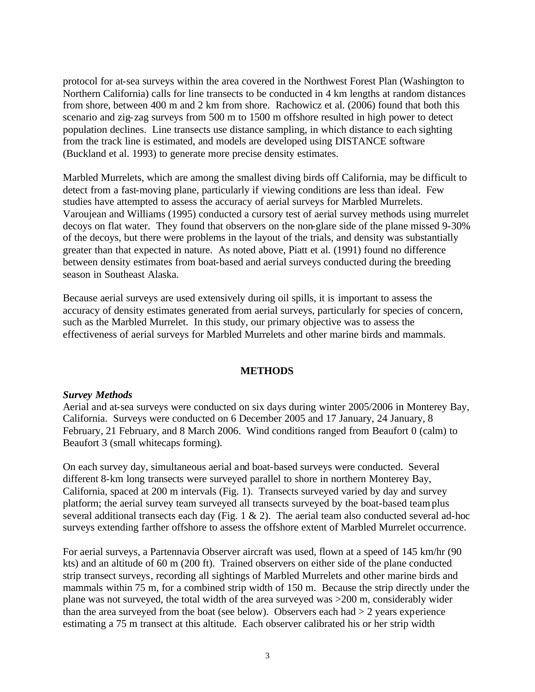protocol for at-sea surveys within the area covered in the Northwest Forest Plan (Washington to Northern California) calls for line transects to be conducted in 4 km lengths at random distances from shore, between 400 m and 2 km from shore. Rachowicz et al. (2006) found that both this scenario and zig-zag surveys from 500 m to 1500 m offshore resulted in high power to detect population declines. Line transects use distance sampling, in which distance to each sighting from the track line is estimated, and models are developed using DISTANCE software (Buckland et al. 1993) to generate more precise density estimates.

Marbled Murrelets, which are among the smallest diving birds off California, may be difficult to detect from a fast-moving plane, particularly if viewing conditions are less than ideal. Few studies have attempted to assess the accuracy of aerial surveys for Marbled Murrelets. Varoujean and Williams (1995) conducted a cursory test of aerial survey methods using murrelet decoys on flat water. They found that observers on the non-glare side of the plane missed 9-30% of the decoys, but there were problems in the layout of the trials, and density was substantially greater than that expected in nature. As noted above, Piatt et al. (1991) found no difference between density estimates from boat-based and aerial surveys conducted during the breeding season in Southeast Alaska.

Because aerial surveys are used extensively during oil spills, it is important to assess the accuracy of density estimates generated from aerial surveys, particularly for species of concern, such as the Marbled Murrelet. In this study, our primary objective was to assess the effectiveness of aerial surveys for Marbled Murrelets and other marine birds and mammals.

### **METHODS**

#### *Survey Methods*

Aerial and at-sea surveys were conducted on six days during winter 2005/2006 in Monterey Bay, California. Surveys were conducted on 6 December 2005 and 17 January, 24 January, 8 February, 21 February, and 8 March 2006. Wind conditions ranged from Beaufort 0 (calm) to Beaufort 3 (small whitecaps forming).

On each survey day, simultaneous aerial and boat-based surveys were conducted. Several different 8-km long transects were surveyed parallel to shore in northern Monterey Bay, California, spaced at 200 m intervals (Fig. 1). Transects surveyed varied by day and survey platform; the aerial survey team surveyed all transects surveyed by the boat-based team plus several additional transects each day (Fig. 1 & 2). The aerial team also conducted several ad-hoc surveys extending farther offshore to assess the offshore extent of Marbled Murrelet occurrence.

For aerial surveys, a Partennavia Observer aircraft was used, flown at a speed of 145 km/hr (90 kts) and an altitude of 60 m (200 ft). Trained observers on either side of the plane conducted strip transect surveys, recording all sightings of Marbled Murrelets and other marine birds and mammals within 75 m, for a combined strip width of 150 m. Because the strip directly under the plane was not surveyed, the total width of the area surveyed was >200 m, considerably wider than the area surveyed from the boat (see below). Observers each had  $> 2$  years experience estimating a 75 m transect at this altitude. Each observer calibrated his or her strip width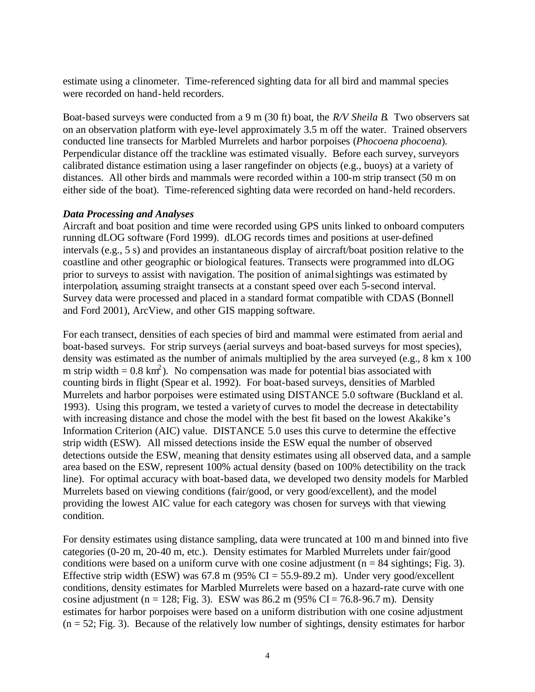estimate using a clinometer. Time-referenced sighting data for all bird and mammal species were recorded on hand-held recorders.

Boat-based surveys were conducted from a 9 m (30 ft) boat, the *R/V Sheila B*. Two observers sat on an observation platform with eye-level approximately 3.5 m off the water. Trained observers conducted line transects for Marbled Murrelets and harbor porpoises (*Phocoena phocoena*). Perpendicular distance off the trackline was estimated visually. Before each survey, surveyors calibrated distance estimation using a laser rangefinder on objects (e.g., buoys) at a variety of distances. All other birds and mammals were recorded within a 100-m strip transect (50 m on either side of the boat). Time-referenced sighting data were recorded on hand-held recorders.

## *Data Processing and Analyses*

Aircraft and boat position and time were recorded using GPS units linked to onboard computers running dLOG software (Ford 1999). dLOG records times and positions at user-defined intervals (e.g., 5 s) and provides an instantaneous display of aircraft/boat position relative to the coastline and other geographic or biological features. Transects were programmed into dLOG prior to surveys to assist with navigation. The position of animal sightings was estimated by interpolation, assuming straight transects at a constant speed over each 5-second interval. Survey data were processed and placed in a standard format compatible with CDAS (Bonnell and Ford 2001), ArcView, and other GIS mapping software.

For each transect, densities of each species of bird and mammal were estimated from aerial and boat-based surveys. For strip surveys (aerial surveys and boat-based surveys for most species), density was estimated as the number of animals multiplied by the area surveyed (e.g., 8 km x 100 m strip width  $= 0.8 \text{ km}^2$ ). No compensation was made for potential bias associated with counting birds in flight (Spear et al. 1992). For boat-based surveys, densities of Marbled Murrelets and harbor porpoises were estimated using DISTANCE 5.0 software (Buckland et al. 1993). Using this program, we tested a variety of curves to model the decrease in detectability with increasing distance and chose the model with the best fit based on the lowest Akakike's Information Criterion (AIC) value. DISTANCE 5.0 uses this curve to determine the effective strip width (ESW). All missed detections inside the ESW equal the number of observed detections outside the ESW, meaning that density estimates using all observed data, and a sample area based on the ESW, represent 100% actual density (based on 100% detectibility on the track line). For optimal accuracy with boat-based data, we developed two density models for Marbled Murrelets based on viewing conditions (fair/good, or very good/excellent), and the model providing the lowest AIC value for each category was chosen for surveys with that viewing condition.

For density estimates using distance sampling, data were truncated at 100 m and binned into five categories (0-20 m, 20-40 m, etc.). Density estimates for Marbled Murrelets under fair/good conditions were based on a uniform curve with one cosine adjustment ( $n = 84$  sightings; Fig. 3). Effective strip width (ESW) was  $67.8$  m (95% CI = 55.9-89.2 m). Under very good/excellent conditions, density estimates for Marbled Murrelets were based on a hazard-rate curve with one cosine adjustment (n = 128; Fig. 3). ESW was  $86.2$  m (95% CI = 76.8-96.7 m). Density estimates for harbor porpoises were based on a uniform distribution with one cosine adjustment  $(n = 52; Fig. 3)$ . Because of the relatively low number of sightings, density estimates for harbor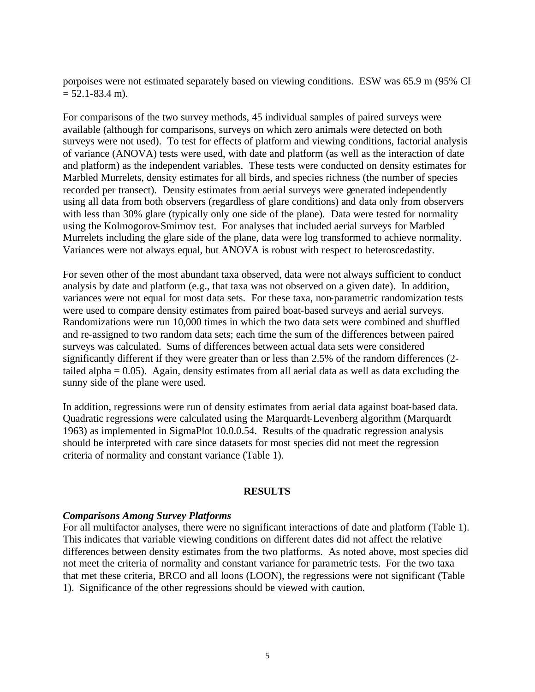porpoises were not estimated separately based on viewing conditions. ESW was 65.9 m (95% CI  $= 52.1 - 83.4$  m).

For comparisons of the two survey methods, 45 individual samples of paired surveys were available (although for comparisons, surveys on which zero animals were detected on both surveys were not used). To test for effects of platform and viewing conditions, factorial analysis of variance (ANOVA) tests were used, with date and platform (as well as the interaction of date and platform) as the independent variables. These tests were conducted on density estimates for Marbled Murrelets, density estimates for all birds, and species richness (the number of species recorded per transect). Density estimates from aerial surveys were generated independently using all data from both observers (regardless of glare conditions) and data only from observers with less than 30% glare (typically only one side of the plane). Data were tested for normality using the Kolmogorov-Smirnov test. For analyses that included aerial surveys for Marbled Murrelets including the glare side of the plane, data were log transformed to achieve normality. Variances were not always equal, but ANOVA is robust with respect to heteroscedastity.

For seven other of the most abundant taxa observed, data were not always sufficient to conduct analysis by date and platform (e.g., that taxa was not observed on a given date). In addition, variances were not equal for most data sets. For these taxa, non-parametric randomization tests were used to compare density estimates from paired boat-based surveys and aerial surveys. Randomizations were run 10,000 times in which the two data sets were combined and shuffled and re-assigned to two random data sets; each time the sum of the differences between paired surveys was calculated. Sums of differences between actual data sets were considered significantly different if they were greater than or less than 2.5% of the random differences (2 tailed alpha  $= 0.05$ ). Again, density estimates from all aerial data as well as data excluding the sunny side of the plane were used.

In addition, regressions were run of density estimates from aerial data against boat-based data. Quadratic regressions were calculated using the Marquardt-Levenberg algorithm (Marquardt 1963) as implemented in SigmaPlot 10.0.0.54. Results of the quadratic regression analysis should be interpreted with care since datasets for most species did not meet the regression criteria of normality and constant variance (Table 1).

### **RESULTS**

## *Comparisons Among Survey Platforms*

For all multifactor analyses, there were no significant interactions of date and platform (Table 1). This indicates that variable viewing conditions on different dates did not affect the relative differences between density estimates from the two platforms. As noted above, most species did not meet the criteria of normality and constant variance for parametric tests. For the two taxa that met these criteria, BRCO and all loons (LOON), the regressions were not significant (Table 1). Significance of the other regressions should be viewed with caution.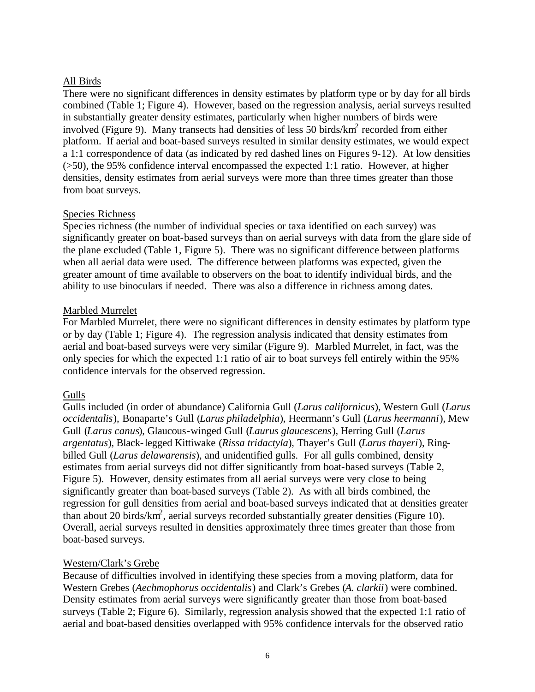## All Birds

There were no significant differences in density estimates by platform type or by day for all birds combined (Table 1; Figure 4). However, based on the regression analysis, aerial surveys resulted in substantially greater density estimates, particularly when higher numbers of birds were involved (Figure 9). Many transects had densities of less 50 birds/ $km^2$  recorded from either platform. If aerial and boat-based surveys resulted in similar density estimates, we would expect a 1:1 correspondence of data (as indicated by red dashed lines on Figures 9-12). At low densities (>50), the 95% confidence interval encompassed the expected 1:1 ratio. However, at higher densities, density estimates from aerial surveys were more than three times greater than those from boat surveys.

## Species Richness

Species richness (the number of individual species or taxa identified on each survey) was significantly greater on boat-based surveys than on aerial surveys with data from the glare side of the plane excluded (Table 1, Figure 5). There was no significant difference between platforms when all aerial data were used. The difference between platforms was expected, given the greater amount of time available to observers on the boat to identify individual birds, and the ability to use binoculars if needed. There was also a difference in richness among dates.

## Marbled Murrelet

For Marbled Murrelet, there were no significant differences in density estimates by platform type or by day (Table 1; Figure 4). The regression analysis indicated that density estimates from aerial and boat-based surveys were very similar (Figure 9). Marbled Murrelet, in fact, was the only species for which the expected 1:1 ratio of air to boat surveys fell entirely within the 95% confidence intervals for the observed regression.

# Gulls

Gulls included (in order of abundance) California Gull (*Larus californicus*), Western Gull (*Larus occidentalis*), Bonaparte's Gull (*Larus philadelphia*), Heermann's Gull (*Larus heermanni*), Mew Gull (*Larus canus*), Glaucous-winged Gull (*Laurus glaucescens*), Herring Gull (*Larus argentatus*), Black-legged Kittiwake (*Rissa tridactyla*), Thayer's Gull (*Larus thayeri*), Ringbilled Gull (*Larus delawarensis*), and unidentified gulls. For all gulls combined, density estimates from aerial surveys did not differ significantly from boat-based surveys (Table 2, Figure 5). However, density estimates from all aerial surveys were very close to being significantly greater than boat-based surveys (Table 2). As with all birds combined, the regression for gull densities from aerial and boat-based surveys indicated that at densities greater than about 20 birds/ $km^2$ , aerial surveys recorded substantially greater densities (Figure 10). Overall, aerial surveys resulted in densities approximately three times greater than those from boat-based surveys.

## Western/Clark's Grebe

Because of difficulties involved in identifying these species from a moving platform, data for Western Grebes (*Aechmophorus occidentalis*) and Clark's Grebes (*A. clarkii*) were combined. Density estimates from aerial surveys were significantly greater than those from boat-based surveys (Table 2; Figure 6). Similarly, regression analysis showed that the expected 1:1 ratio of aerial and boat-based densities overlapped with 95% confidence intervals for the observed ratio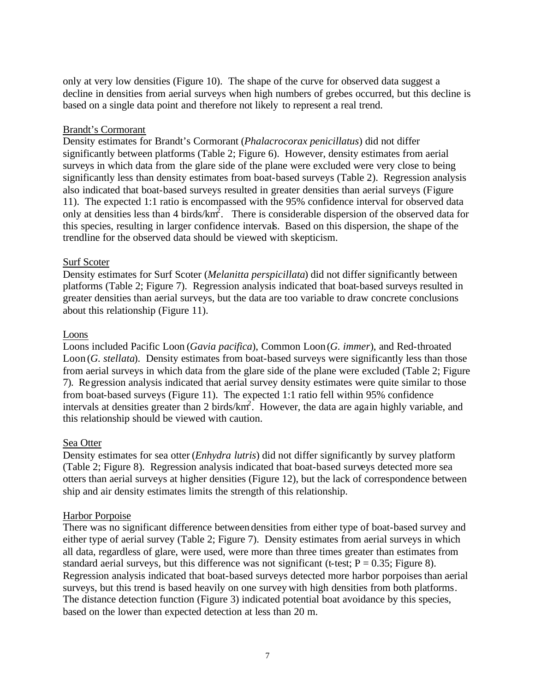only at very low densities (Figure 10). The shape of the curve for observed data suggest a decline in densities from aerial surveys when high numbers of grebes occurred, but this decline is based on a single data point and therefore not likely to represent a real trend.

## Brandt's Cormorant

Density estimates for Brandt's Cormorant (*Phalacrocorax penicillatus*) did not differ significantly between platforms (Table 2; Figure 6). However, density estimates from aerial surveys in which data from the glare side of the plane were excluded were very close to being significantly less than density estimates from boat-based surveys (Table 2). Regression analysis also indicated that boat-based surveys resulted in greater densities than aerial surveys (Figure 11). The expected 1:1 ratio is encompassed with the 95% confidence interval for observed data only at densities less than 4 birds/ $km^2$ . There is considerable dispersion of the observed data for this species, resulting in larger confidence intervals. Based on this dispersion, the shape of the trendline for the observed data should be viewed with skepticism.

## Surf Scoter

Density estimates for Surf Scoter (*Melanitta perspicillata*) did not differ significantly between platforms (Table 2; Figure 7). Regression analysis indicated that boat-based surveys resulted in greater densities than aerial surveys, but the data are too variable to draw concrete conclusions about this relationship (Figure 11).

## Loons

Loons included Pacific Loon (*Gavia pacifica*), Common Loon (*G. immer*), and Red-throated Loon (*G. stellata*). Density estimates from boat-based surveys were significantly less than those from aerial surveys in which data from the glare side of the plane were excluded (Table 2; Figure 7). Regression analysis indicated that aerial survey density estimates were quite similar to those from boat-based surveys (Figure 11). The expected 1:1 ratio fell within 95% confidence intervals at densities greater than 2 birds/ $km^2$ . However, the data are again highly variable, and this relationship should be viewed with caution.

## Sea Otter

Density estimates for sea otter (*Enhydra lutris*) did not differ significantly by survey platform (Table 2; Figure 8). Regression analysis indicated that boat-based surveys detected more sea otters than aerial surveys at higher densities (Figure 12), but the lack of correspondence between ship and air density estimates limits the strength of this relationship.

## Harbor Porpoise

There was no significant difference between densities from either type of boat-based survey and either type of aerial survey (Table 2; Figure 7). Density estimates from aerial surveys in which all data, regardless of glare, were used, were more than three times greater than estimates from standard aerial surveys, but this difference was not significant (t-test;  $P = 0.35$ ; Figure 8). Regression analysis indicated that boat-based surveys detected more harbor porpoises than aerial surveys, but this trend is based heavily on one survey with high densities from both platforms. The distance detection function (Figure 3) indicated potential boat avoidance by this species, based on the lower than expected detection at less than 20 m.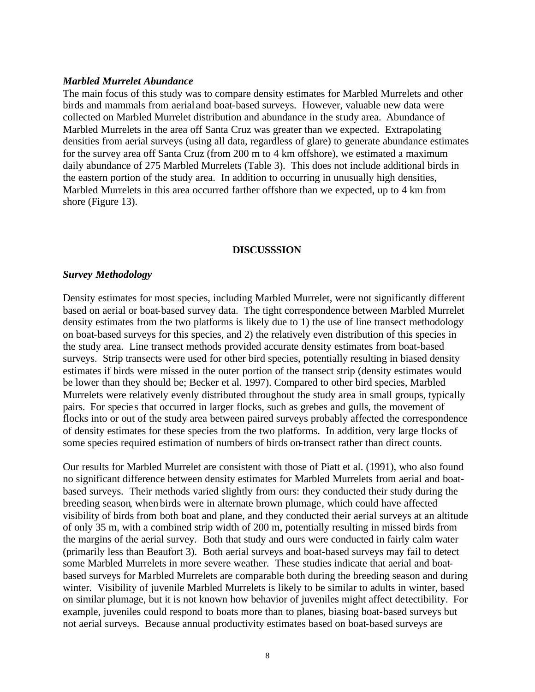### *Marbled Murrelet Abundance*

The main focus of this study was to compare density estimates for Marbled Murrelets and other birds and mammals from aerial and boat-based surveys. However, valuable new data were collected on Marbled Murrelet distribution and abundance in the study area. Abundance of Marbled Murrelets in the area off Santa Cruz was greater than we expected. Extrapolating densities from aerial surveys (using all data, regardless of glare) to generate abundance estimates for the survey area off Santa Cruz (from 200 m to 4 km offshore), we estimated a maximum daily abundance of 275 Marbled Murrelets (Table 3). This does not include additional birds in the eastern portion of the study area. In addition to occurring in unusually high densities, Marbled Murrelets in this area occurred farther offshore than we expected, up to 4 km from shore (Figure 13).

#### **DISCUSSSION**

### *Survey Methodology*

Density estimates for most species, including Marbled Murrelet, were not significantly different based on aerial or boat-based survey data. The tight correspondence between Marbled Murrelet density estimates from the two platforms is likely due to 1) the use of line transect methodology on boat-based surveys for this species, and 2) the relatively even distribution of this species in the study area. Line transect methods provided accurate density estimates from boat-based surveys. Strip transects were used for other bird species, potentially resulting in biased density estimates if birds were missed in the outer portion of the transect strip (density estimates would be lower than they should be; Becker et al. 1997). Compared to other bird species, Marbled Murrelets were relatively evenly distributed throughout the study area in small groups, typically pairs. For species that occurred in larger flocks, such as grebes and gulls, the movement of flocks into or out of the study area between paired surveys probably affected the correspondence of density estimates for these species from the two platforms. In addition, very large flocks of some species required estimation of numbers of birds on-transect rather than direct counts.

Our results for Marbled Murrelet are consistent with those of Piatt et al. (1991), who also found no significant difference between density estimates for Marbled Murrelets from aerial and boatbased surveys. Their methods varied slightly from ours: they conducted their study during the breeding season, when birds were in alternate brown plumage, which could have affected visibility of birds from both boat and plane, and they conducted their aerial surveys at an altitude of only 35 m, with a combined strip width of 200 m, potentially resulting in missed birds from the margins of the aerial survey. Both that study and ours were conducted in fairly calm water (primarily less than Beaufort 3). Both aerial surveys and boat-based surveys may fail to detect some Marbled Murrelets in more severe weather. These studies indicate that aerial and boatbased surveys for Marbled Murrelets are comparable both during the breeding season and during winter. Visibility of juvenile Marbled Murrelets is likely to be similar to adults in winter, based on similar plumage, but it is not known how behavior of juveniles might affect detectibility. For example, juveniles could respond to boats more than to planes, biasing boat-based surveys but not aerial surveys. Because annual productivity estimates based on boat-based surveys are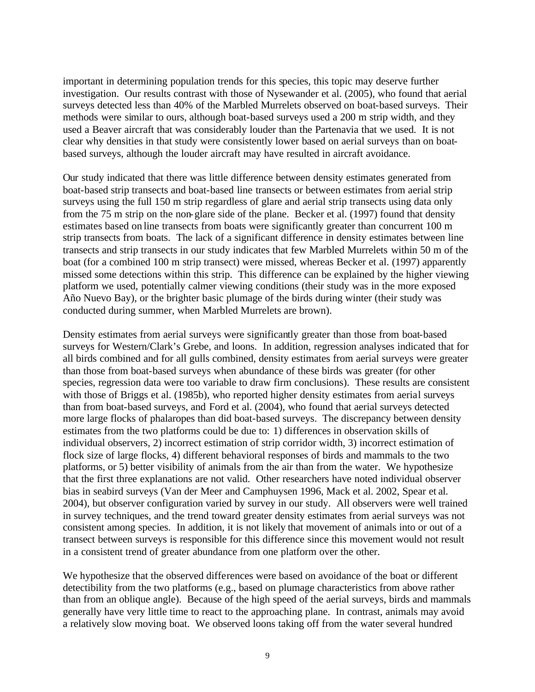important in determining population trends for this species, this topic may deserve further investigation. Our results contrast with those of Nysewander et al. (2005), who found that aerial surveys detected less than 40% of the Marbled Murrelets observed on boat-based surveys. Their methods were similar to ours, although boat-based surveys used a 200 m strip width, and they used a Beaver aircraft that was considerably louder than the Partenavia that we used. It is not clear why densities in that study were consistently lower based on aerial surveys than on boatbased surveys, although the louder aircraft may have resulted in aircraft avoidance.

Our study indicated that there was little difference between density estimates generated from boat-based strip transects and boat-based line transects or between estimates from aerial strip surveys using the full 150 m strip regardless of glare and aerial strip transects using data only from the 75 m strip on the non-glare side of the plane. Becker et al. (1997) found that density estimates based on line transects from boats were significantly greater than concurrent 100 m strip transects from boats. The lack of a significant difference in density estimates between line transects and strip transects in our study indicates that few Marbled Murrelets within 50 m of the boat (for a combined 100 m strip transect) were missed, whereas Becker et al. (1997) apparently missed some detections within this strip. This difference can be explained by the higher viewing platform we used, potentially calmer viewing conditions (their study was in the more exposed Año Nuevo Bay), or the brighter basic plumage of the birds during winter (their study was conducted during summer, when Marbled Murrelets are brown).

Density estimates from aerial surveys were significantly greater than those from boat-based surveys for Western/Clark's Grebe, and loons. In addition, regression analyses indicated that for all birds combined and for all gulls combined, density estimates from aerial surveys were greater than those from boat-based surveys when abundance of these birds was greater (for other species, regression data were too variable to draw firm conclusions). These results are consistent with those of Briggs et al. (1985b), who reported higher density estimates from aerial surveys than from boat-based surveys, and Ford et al. (2004), who found that aerial surveys detected more large flocks of phalaropes than did boat-based surveys. The discrepancy between density estimates from the two platforms could be due to: 1) differences in observation skills of individual observers, 2) incorrect estimation of strip corridor width, 3) incorrect estimation of flock size of large flocks, 4) different behavioral responses of birds and mammals to the two platforms, or 5) better visibility of animals from the air than from the water. We hypothesize that the first three explanations are not valid. Other researchers have noted individual observer bias in seabird surveys (Van der Meer and Camphuysen 1996, Mack et al. 2002, Spear et al. 2004), but observer configuration varied by survey in our study. All observers were well trained in survey techniques, and the trend toward greater density estimates from aerial surveys was not consistent among species. In addition, it is not likely that movement of animals into or out of a transect between surveys is responsible for this difference since this movement would not result in a consistent trend of greater abundance from one platform over the other.

We hypothesize that the observed differences were based on avoidance of the boat or different detectibility from the two platforms (e.g., based on plumage characteristics from above rather than from an oblique angle). Because of the high speed of the aerial surveys, birds and mammals generally have very little time to react to the approaching plane. In contrast, animals may avoid a relatively slow moving boat. We observed loons taking off from the water several hundred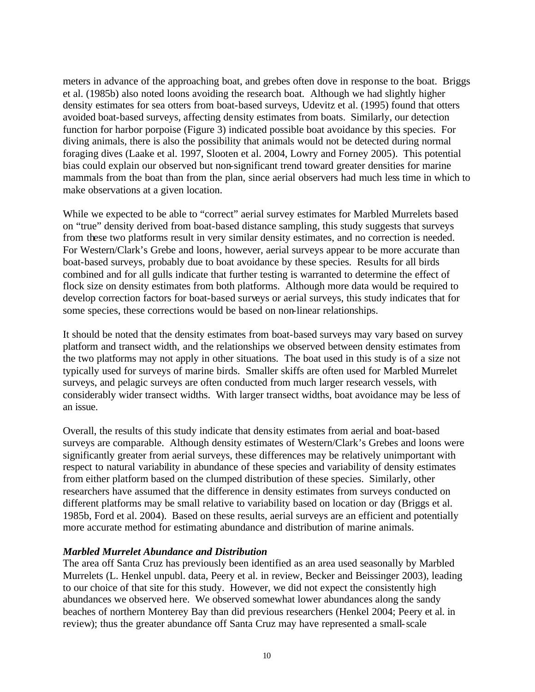meters in advance of the approaching boat, and grebes often dove in response to the boat. Briggs et al. (1985b) also noted loons avoiding the research boat. Although we had slightly higher density estimates for sea otters from boat-based surveys, Udevitz et al. (1995) found that otters avoided boat-based surveys, affecting density estimates from boats. Similarly, our detection function for harbor porpoise (Figure 3) indicated possible boat avoidance by this species. For diving animals, there is also the possibility that animals would not be detected during normal foraging dives (Laake et al. 1997, Slooten et al. 2004, Lowry and Forney 2005). This potential bias could explain our observed but non-significant trend toward greater densities for marine mammals from the boat than from the plan, since aerial observers had much less time in which to make observations at a given location.

While we expected to be able to "correct" aerial survey estimates for Marbled Murrelets based on "true" density derived from boat-based distance sampling, this study suggests that surveys from these two platforms result in very similar density estimates, and no correction is needed. For Western/Clark's Grebe and loons, however, aerial surveys appear to be more accurate than boat-based surveys, probably due to boat avoidance by these species. Results for all birds combined and for all gulls indicate that further testing is warranted to determine the effect of flock size on density estimates from both platforms. Although more data would be required to develop correction factors for boat-based surveys or aerial surveys, this study indicates that for some species, these corrections would be based on non-linear relationships.

It should be noted that the density estimates from boat-based surveys may vary based on survey platform and transect width, and the relationships we observed between density estimates from the two platforms may not apply in other situations. The boat used in this study is of a size not typically used for surveys of marine birds. Smaller skiffs are often used for Marbled Murrelet surveys, and pelagic surveys are often conducted from much larger research vessels, with considerably wider transect widths. With larger transect widths, boat avoidance may be less of an issue.

Overall, the results of this study indicate that density estimates from aerial and boat-based surveys are comparable. Although density estimates of Western/Clark's Grebes and loons were significantly greater from aerial surveys, these differences may be relatively unimportant with respect to natural variability in abundance of these species and variability of density estimates from either platform based on the clumped distribution of these species. Similarly, other researchers have assumed that the difference in density estimates from surveys conducted on different platforms may be small relative to variability based on location or day (Briggs et al. 1985b, Ford et al. 2004). Based on these results, aerial surveys are an efficient and potentially more accurate method for estimating abundance and distribution of marine animals.

### *Marbled Murrelet Abundance and Distribution*

The area off Santa Cruz has previously been identified as an area used seasonally by Marbled Murrelets (L. Henkel unpubl. data, Peery et al. in review, Becker and Beissinger 2003), leading to our choice of that site for this study. However, we did not expect the consistently high abundances we observed here. We observed somewhat lower abundances along the sandy beaches of northern Monterey Bay than did previous researchers (Henkel 2004; Peery et al. in review); thus the greater abundance off Santa Cruz may have represented a small-scale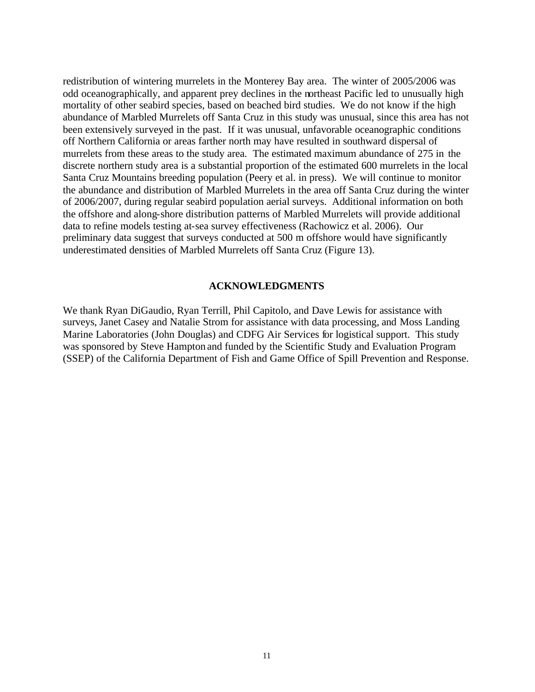redistribution of wintering murrelets in the Monterey Bay area. The winter of 2005/2006 was odd oceanographically, and apparent prey declines in the northeast Pacific led to unusually high mortality of other seabird species, based on beached bird studies. We do not know if the high abundance of Marbled Murrelets off Santa Cruz in this study was unusual, since this area has not been extensively surveyed in the past. If it was unusual, unfavorable oceanographic conditions off Northern California or areas farther north may have resulted in southward dispersal of murrelets from these areas to the study area. The estimated maximum abundance of 275 in the discrete northern study area is a substantial proportion of the estimated 600 murrelets in the local Santa Cruz Mountains breeding population (Peery et al. in press). We will continue to monitor the abundance and distribution of Marbled Murrelets in the area off Santa Cruz during the winter of 2006/2007, during regular seabird population aerial surveys. Additional information on both the offshore and along-shore distribution patterns of Marbled Murrelets will provide additional data to refine models testing at-sea survey effectiveness (Rachowicz et al. 2006). Our preliminary data suggest that surveys conducted at 500 m offshore would have significantly underestimated densities of Marbled Murrelets off Santa Cruz (Figure 13).

#### **ACKNOWLEDGMENTS**

We thank Ryan DiGaudio, Ryan Terrill, Phil Capitolo, and Dave Lewis for assistance with surveys, Janet Casey and Natalie Strom for assistance with data processing, and Moss Landing Marine Laboratories (John Douglas) and CDFG Air Services for logistical support. This study was sponsored by Steve Hampton and funded by the Scientific Study and Evaluation Program (SSEP) of the California Department of Fish and Game Office of Spill Prevention and Response.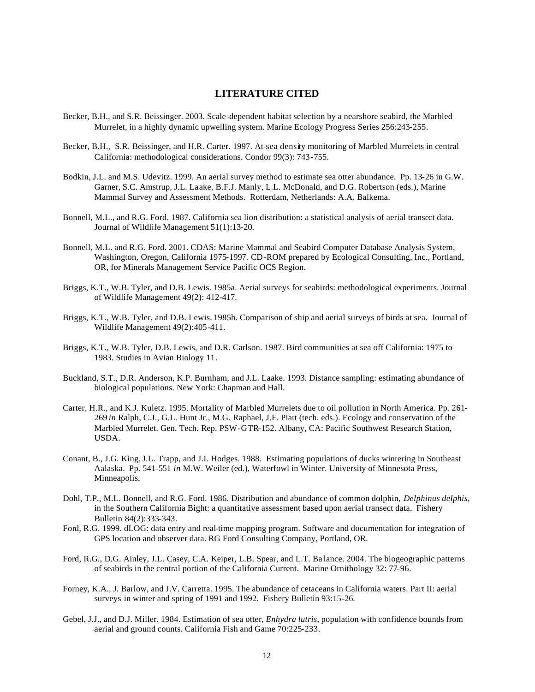### **LITERATURE CITED**

- Becker, B.H., and S.R. Beissinger. 2003. Scale-dependent habitat selection by a nearshore seabird, the Marbled Murrelet, in a highly dynamic upwelling system. Marine Ecology Progress Series 256:243-255.
- Becker, B.H., S.R. Beissinger, and H.R. Carter. 1997. At-sea density monitoring of Marbled Murrelets in central California: methodological considerations. Condor 99(3): 743-755.
- Bodkin, J.L. and M.S. Udevitz. 1999. An aerial survey method to estimate sea otter abundance. Pp. 13-26 in G.W. Garner, S.C. Amstrup, J.L. Laake, B.F.J. Manly, L.L. McDonald, and D.G. Robertson (eds.), Marine Mammal Survey and Assessment Methods. Rotterdam, Netherlands: A.A. Balkema.
- Bonnell, M.L., and R.G. Ford. 1987. California sea lion distribution: a statistical analysis of aerial transect data. Journal of Wildlife Management 51(1):13-20.
- Bonnell, M.L. and R.G. Ford. 2001. CDAS: Marine Mammal and Seabird Computer Database Analysis System, Washington, Oregon, California 1975-1997. CD-ROM prepared by Ecological Consulting, Inc., Portland, OR, for Minerals Management Service Pacific OCS Region.
- Briggs, K.T., W.B. Tyler, and D.B. Lewis. 1985a. Aerial surveys for seabirds: methodological experiments. Journal of Wildlife Management 49(2): 412-417.
- Briggs, K.T., W.B. Tyler, and D.B. Lewis. 1985b. Comparison of ship and aerial surveys of birds at sea. Journal of Wildlife Management 49(2):405-411.
- Briggs, K.T., W.B. Tyler, D.B. Lewis, and D.R. Carlson. 1987. Bird communities at sea off California: 1975 to 1983. Studies in Avian Biology 11.
- Buckland, S.T., D.R. Anderson, K.P. Burnham, and J.L. Laake. 1993. Distance sampling: estimating abundance of biological populations. New York: Chapman and Hall.
- Carter, H.R., and K.J. Kuletz. 1995. Mortality of Marbled Murrelets due to oil pollution in North America. Pp. 261- 269 *in* Ralph, C.J., G.L. Hunt Jr., M.G. Raphael, J.F. Piatt (tech. eds.). Ecology and conservation of the Marbled Murrelet. Gen. Tech. Rep. PSW-GTR-152. Albany, CA: Pacific Southwest Research Station, USDA.
- Conant, B., J.G. King, J.L. Trapp, and J.I. Hodges. 1988. Estimating populations of ducks wintering in Southeast Aalaska. Pp. 541-551 *in* M.W. Weiler (ed.), Waterfowl in Winter. University of Minnesota Press, Minneapolis.
- Dohl, T.P., M.L. Bonnell, and R.G. Ford. 1986. Distribution and abundance of common dolphin, *Delphinus delphis*, in the Southern California Bight: a quantitative assessment based upon aerial transect data. Fishery Bulletin 84(2):333-343.
- Ford, R.G. 1999. dLOG: data entry and real-time mapping program. Software and documentation for integration of GPS location and observer data. RG Ford Consulting Company, Portland, OR.
- Ford, R.G., D.G. Ainley, J.L. Casey, C.A. Keiper, L.B. Spear, and L.T. Ba lance. 2004. The biogeographic patterns of seabirds in the central portion of the California Current. Marine Ornithology 32: 77-96.
- Forney, K.A., J. Barlow, and J.V. Carretta. 1995. The abundance of cetaceans in California waters. Part II: aerial surveys in winter and spring of 1991 and 1992. Fishery Bulletin 93:15-26.
- Gebel, J.J., and D.J. Miller. 1984. Estimation of sea otter, *Enhydra lutris*, population with confidence bounds from aerial and ground counts. California Fish and Game 70:225-233.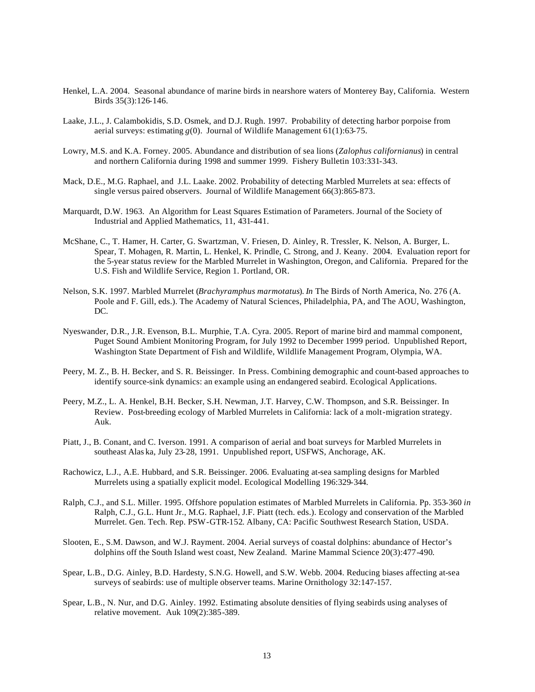- Henkel, L.A. 2004. Seasonal abundance of marine birds in nearshore waters of Monterey Bay, California. Western Birds 35(3):126-146.
- Laake, J.L., J. Calambokidis, S.D. Osmek, and D.J. Rugh. 1997. Probability of detecting harbor porpoise from aerial surveys: estimating  $g(0)$ . Journal of Wildlife Management 61(1):63-75.
- Lowry, M.S. and K.A. Forney. 2005. Abundance and distribution of sea lions (*Zalophus californianus*) in central and northern California during 1998 and summer 1999. Fishery Bulletin 103:331-343.
- Mack, D.E., M.G. Raphael, and J.L. Laake. 2002. Probability of detecting Marbled Murrelets at sea: effects of single versus paired observers. Journal of Wildlife Management 66(3):865-873.
- Marquardt, D.W. 1963. An Algorithm for Least Squares Estimation of Parameters. Journal of the Society of Industrial and Applied Mathematics, 11, 431-441.
- McShane, C., T. Hamer, H. Carter, G. Swartzman, V. Friesen, D. Ainley, R. Tressler, K. Nelson, A. Burger, L. Spear, T. Mohagen, R. Martin, L. Henkel, K. Prindle, C. Strong, and J. Keany. 2004. Evaluation report for the 5-year status review for the Marbled Murrelet in Washington, Oregon, and California. Prepared for the U.S. Fish and Wildlife Service, Region 1. Portland, OR.
- Nelson, S.K. 1997. Marbled Murrelet (*Brachyramphus marmotatus*). *In* The Birds of North America, No. 276 (A. Poole and F. Gill, eds.). The Academy of Natural Sciences, Philadelphia, PA, and The AOU, Washington, DC.
- Nyeswander, D.R., J.R. Evenson, B.L. Murphie, T.A. Cyra. 2005. Report of marine bird and mammal component, Puget Sound Ambient Monitoring Program, for July 1992 to December 1999 period. Unpublished Report, Washington State Department of Fish and Wildlife, Wildlife Management Program, Olympia, WA.
- Peery, M. Z., B. H. Becker, and S. R. Beissinger. In Press. Combining demographic and count-based approaches to identify source-sink dynamics: an example using an endangered seabird. Ecological Applications.
- Peery, M.Z., L. A. Henkel, B.H. Becker, S.H. Newman, J.T. Harvey, C.W. Thompson, and S.R. Beissinger. In Review. Post-breeding ecology of Marbled Murrelets in California: lack of a molt-migration strategy. Auk.
- Piatt, J., B. Conant, and C. Iverson. 1991. A comparison of aerial and boat surveys for Marbled Murrelets in southeast Alas ka, July 23-28, 1991. Unpublished report, USFWS, Anchorage, AK.
- Rachowicz, L.J., A.E. Hubbard, and S.R. Beissinger. 2006. Evaluating at-sea sampling designs for Marbled Murrelets using a spatially explicit model. Ecological Modelling 196:329-344.
- Ralph, C.J., and S.L. Miller. 1995. Offshore population estimates of Marbled Murrelets in California. Pp. 353-360 *in* Ralph, C.J., G.L. Hunt Jr., M.G. Raphael, J.F. Piatt (tech. eds.). Ecology and conservation of the Marbled Murrelet. Gen. Tech. Rep. PSW-GTR-152. Albany, CA: Pacific Southwest Research Station, USDA.
- Slooten, E., S.M. Dawson, and W.J. Rayment. 2004. Aerial surveys of coastal dolphins: abundance of Hector's dolphins off the South Island west coast, New Zealand. Marine Mammal Science 20(3):477-490.
- Spear, L.B., D.G. Ainley, B.D. Hardesty, S.N.G. Howell, and S.W. Webb. 2004. Reducing biases affecting at-sea surveys of seabirds: use of multiple observer teams. Marine Ornithology 32:147-157.
- Spear, L.B., N. Nur, and D.G. Ainley. 1992. Estimating absolute densities of flying seabirds using analyses of relative movement. Auk 109(2):385-389.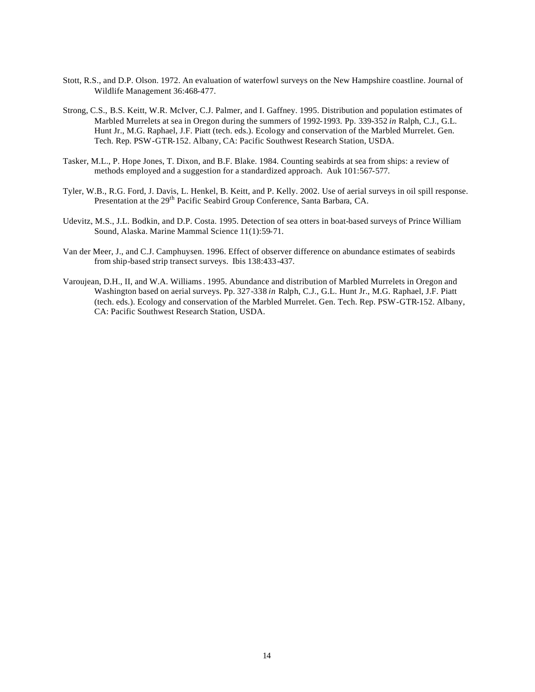- Stott, R.S., and D.P. Olson. 1972. An evaluation of waterfowl surveys on the New Hampshire coastline. Journal of Wildlife Management 36:468-477.
- Strong, C.S., B.S. Keitt, W.R. McIver, C.J. Palmer, and I. Gaffney. 1995. Distribution and population estimates of Marbled Murrelets at sea in Oregon during the summers of 1992-1993. Pp. 339-352 *in* Ralph, C.J., G.L. Hunt Jr., M.G. Raphael, J.F. Piatt (tech. eds.). Ecology and conservation of the Marbled Murrelet. Gen. Tech. Rep. PSW-GTR-152. Albany, CA: Pacific Southwest Research Station, USDA.
- Tasker, M.L., P. Hope Jones, T. Dixon, and B.F. Blake. 1984. Counting seabirds at sea from ships: a review of methods employed and a suggestion for a standardized approach. Auk 101:567-577.
- Tyler, W.B., R.G. Ford, J. Davis, L. Henkel, B. Keitt, and P. Kelly. 2002. Use of aerial surveys in oil spill response. Presentation at the 29<sup>th</sup> Pacific Seabird Group Conference, Santa Barbara, CA.
- Udevitz, M.S., J.L. Bodkin, and D.P. Costa. 1995. Detection of sea otters in boat-based surveys of Prince William Sound, Alaska. Marine Mammal Science 11(1):59-71.
- Van der Meer, J., and C.J. Camphuysen. 1996. Effect of observer difference on abundance estimates of seabirds from ship-based strip transect surveys. Ibis 138:433-437.
- Varoujean, D.H., II, and W.A. Williams. 1995. Abundance and distribution of Marbled Murrelets in Oregon and Washington based on aerial surveys. Pp. 327-338 *in* Ralph, C.J., G.L. Hunt Jr., M.G. Raphael, J.F. Piatt (tech. eds.). Ecology and conservation of the Marbled Murrelet. Gen. Tech. Rep. PSW-GTR-152. Albany, CA: Pacific Southwest Research Station, USDA.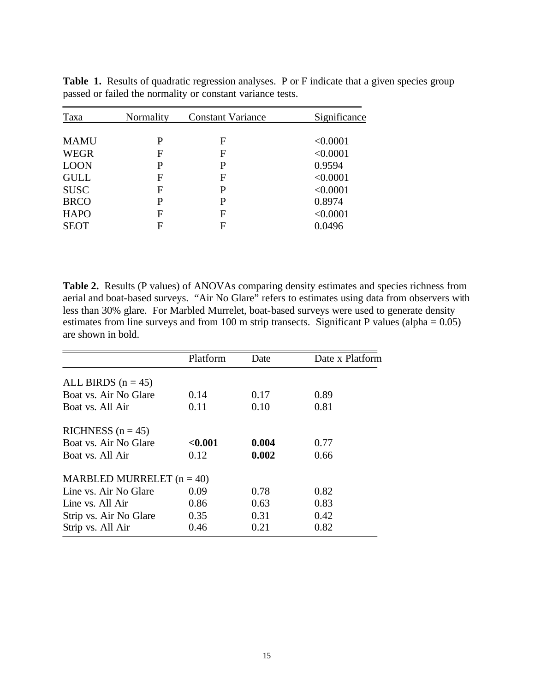| Taxa        | Normality | <b>Constant Variance</b> | Significance |
|-------------|-----------|--------------------------|--------------|
|             |           |                          |              |
| <b>MAMU</b> | P         | F                        | < 0.0001     |
| <b>WEGR</b> | F         | F                        | < 0.0001     |
| <b>LOON</b> | P         | P                        | 0.9594       |
| <b>GULL</b> | F         | F                        | < 0.0001     |
| <b>SUSC</b> | F         | P                        | < 0.0001     |
| <b>BRCO</b> | P         | P                        | 0.8974       |
| <b>HAPO</b> | F         | F                        | < 0.0001     |
| <b>SEOT</b> | F         | F                        | 0.0496       |

Table 1. Results of quadratic regression analyses. P or F indicate that a given species group passed or failed the normality or constant variance tests.

Table 2. Results (P values) of ANOVAs comparing density estimates and species richness from aerial and boat-based surveys. "Air No Glare" refers to estimates using data from observers with less than 30% glare. For Marbled Murrelet, boat-based surveys were used to generate density estimates from line surveys and from 100 m strip transects. Significant P values (alpha = 0.05) are shown in bold.

|                             | Platform | Date  | Date x Platform |
|-----------------------------|----------|-------|-----------------|
| ALL BIRDS $(n = 45)$        |          |       |                 |
| Boat vs. Air No Glare       | 0.14     | 0.17  | 0.89            |
| Boat vs. All Air            | 0.11     | 0.10  | 0.81            |
| RICHNESS $(n = 45)$         |          |       |                 |
| Boat vs. Air No Glare       | < 0.001  | 0.004 | 0.77            |
| Boat vs. All Air            | 0.12     | 0.002 | 0.66            |
| MARBLED MURRELET $(n = 40)$ |          |       |                 |
| Line vs. Air No Glare       | 0.09     | 0.78  | 0.82            |
| Line vs. All Air            | 0.86     | 0.63  | 0.83            |
| Strip vs. Air No Glare      | 0.35     | 0.31  | 0.42            |
| Strip vs. All Air           | 0.46     | 0.21  | 0.82            |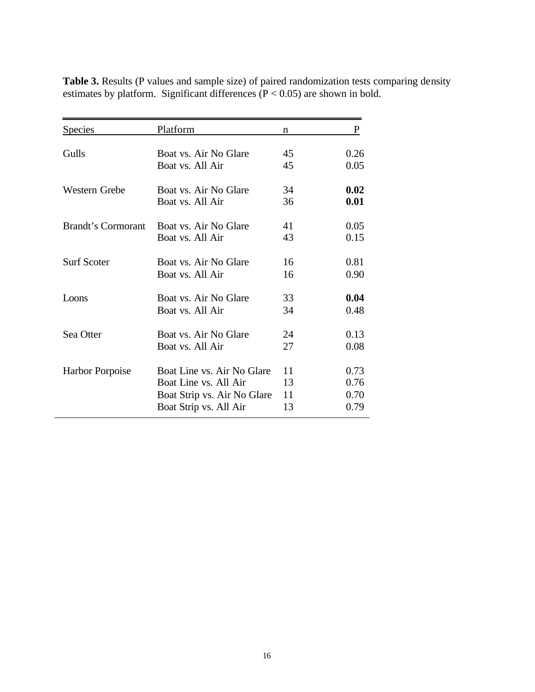| <b>Species</b>            | Platform                    | n  | P    |
|---------------------------|-----------------------------|----|------|
|                           |                             |    |      |
| Gulls                     | Boat vs. Air No Glare       | 45 | 0.26 |
|                           | Boat vs. All Air            | 45 | 0.05 |
| Western Grebe             | Boat vs. Air No Glare       | 34 | 0.02 |
|                           | Boat vs. All Air            | 36 | 0.01 |
| <b>Brandt's Cormorant</b> | Boat vs. Air No Glare       | 41 | 0.05 |
|                           | Boat vs. All Air            | 43 | 0.15 |
| <b>Surf Scoter</b>        | Boat vs. Air No Glare       | 16 | 0.81 |
|                           | Boat vs. All Air            | 16 | 0.90 |
| Loons                     | Boat vs. Air No Glare       | 33 | 0.04 |
|                           | Boat vs. All Air            | 34 | 0.48 |
| Sea Otter                 | Boat vs. Air No Glare       | 24 | 0.13 |
|                           | Boat vs. All Air            | 27 | 0.08 |
| <b>Harbor Porpoise</b>    | Boat Line vs. Air No Glare  | 11 | 0.73 |
|                           | Boat Line vs. All Air       | 13 | 0.76 |
|                           | Boat Strip vs. Air No Glare | 11 | 0.70 |
|                           | Boat Strip vs. All Air      | 13 | 0.79 |

Table 3. Results (P values and sample size) of paired randomization tests comparing density estimates by platform. Significant differences  $(P < 0.05)$  are shown in bold.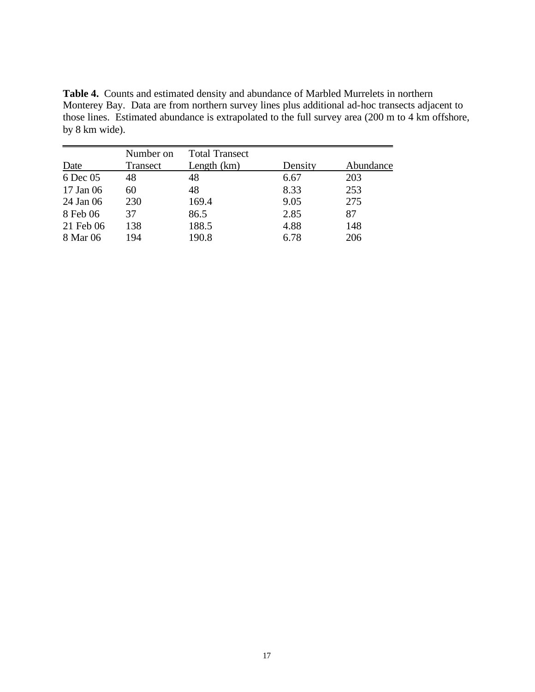**Table 4.** Counts and estimated density and abundance of Marbled Murrelets in northern Monterey Bay. Data are from northern survey lines plus additional ad-hoc transects adjacent to those lines. Estimated abundance is extrapolated to the full survey area (200 m to 4 km offshore, by 8 km wide).

|           | Number on | <b>Total Transect</b> |         |           |
|-----------|-----------|-----------------------|---------|-----------|
| Date      | Transect  | Length (km)           | Density | Abundance |
| 6 Dec 05  | 48        | 48                    | 6.67    | 203       |
| 17 Jan 06 | 60        | 48                    | 8.33    | 253       |
| 24 Jan 06 | 230       | 169.4                 | 9.05    | 275       |
| 8 Feb 06  | 37        | 86.5                  | 2.85    | 87        |
| 21 Feb 06 | 138       | 188.5                 | 4.88    | 148       |
| 8 Mar 06  | 194       | 190.8                 | 6.78    | 206       |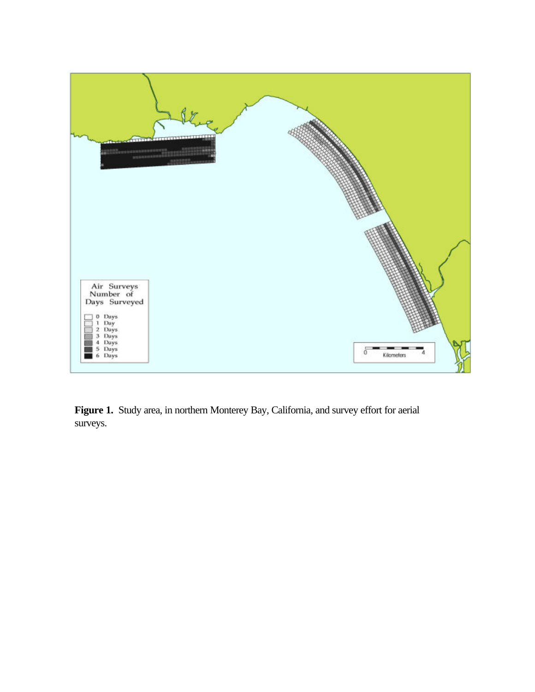

**Figure 1.** Study area, in northern Monterey Bay, California, and survey effort for aerial surveys.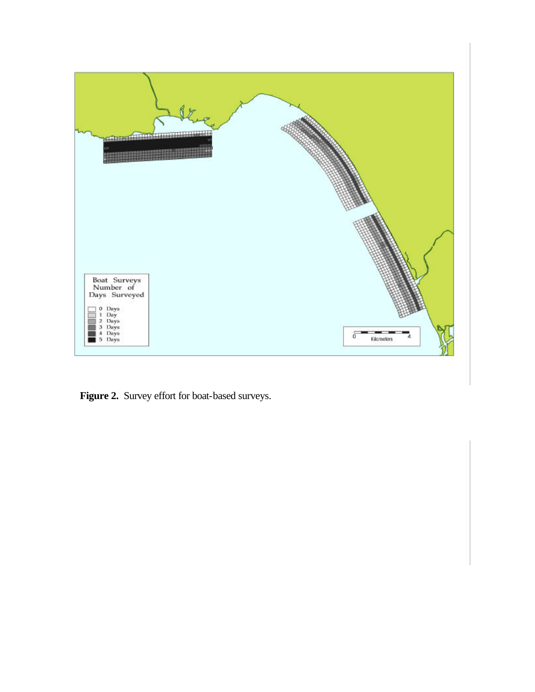

**Figure 2.** Survey effort for boat-based surveys.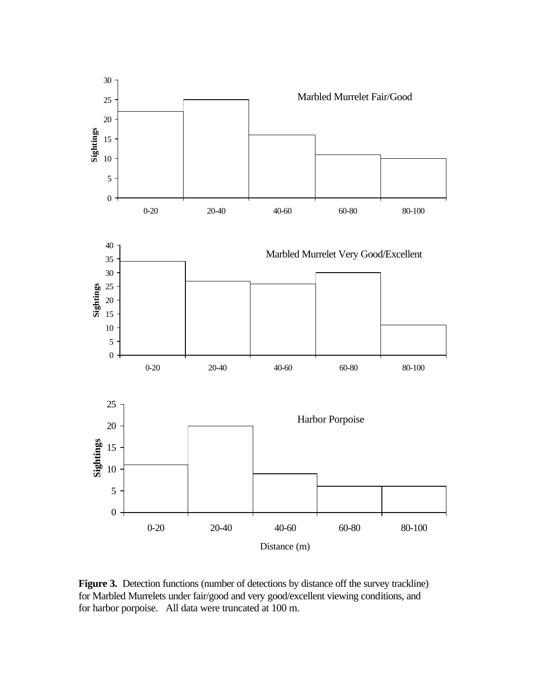

Figure 3. Detection functions (number of detections by distance off the survey trackline) for Marbled Murrelets under fair/good and very good/excellent viewing conditions, and for harbor porpoise. All data were truncated at 100 m.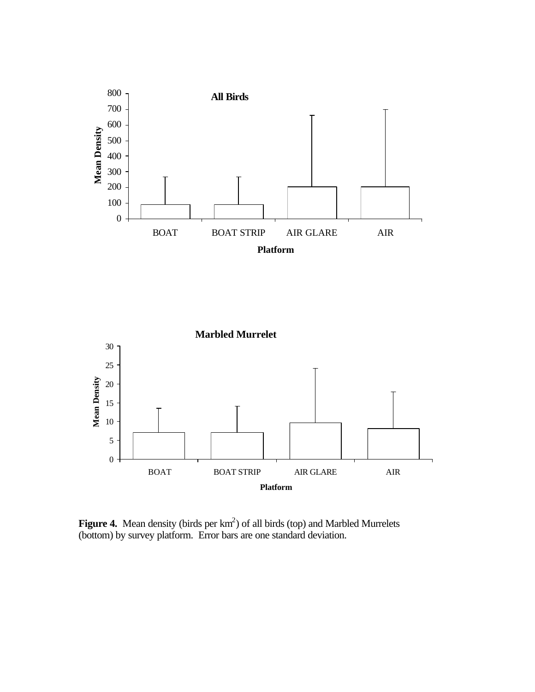



**Figure 4.** Mean density (birds per  $km^2$ ) of all birds (top) and Marbled Murrelets (bottom) by survey platform. Error bars are one standard deviation.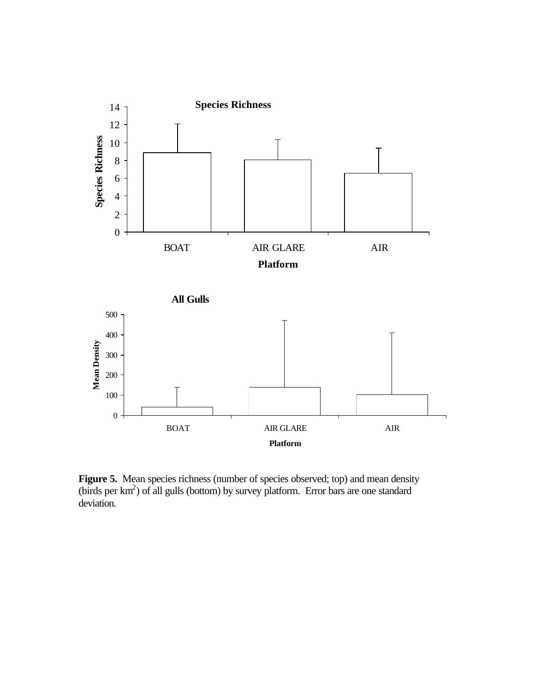

Figure 5. Mean species richness (number of species observed; top) and mean density (birds per km<sup>2</sup>) of all gulls (bottom) by survey platform. Error bars are one standard deviation.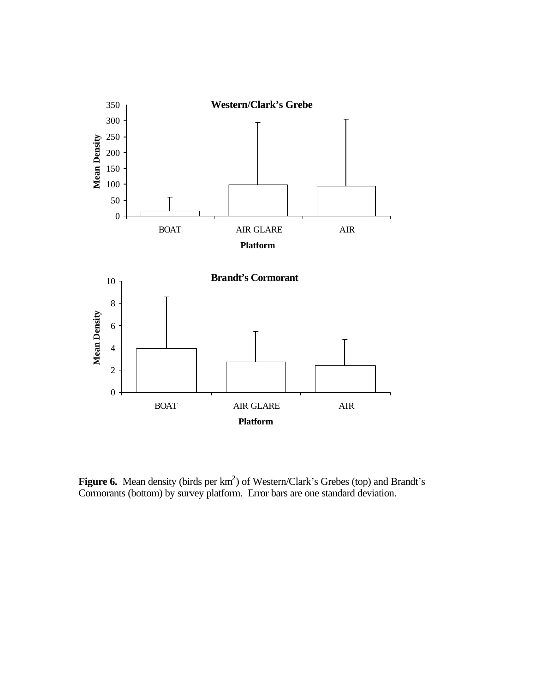

**Figure 6.** Mean density (birds per km<sup>2</sup>) of Western/Clark's Grebes (top) and Brandt's Cormorants (bottom) by survey platform. Error bars are one standard deviation.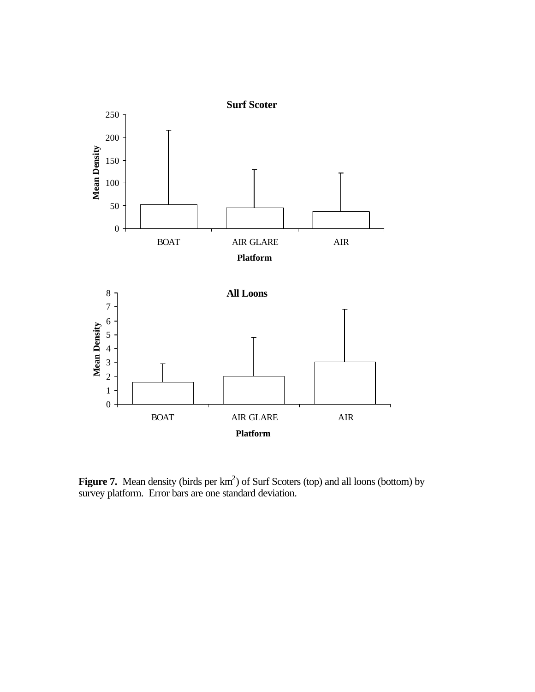

**Figure 7.** Mean density (birds per  $km^2$ ) of Surf Scoters (top) and all loons (bottom) by survey platform. Error bars are one standard deviation.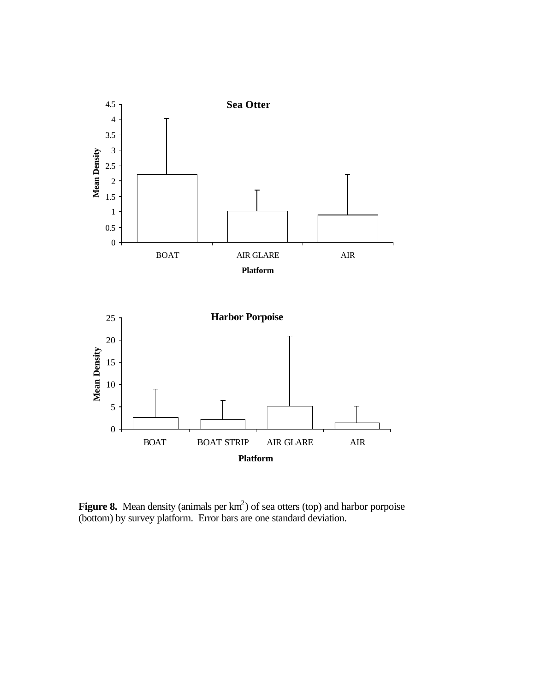

**Figure 8.** Mean density (animals per  $km<sup>2</sup>$ ) of sea otters (top) and harbor porpoise (bottom) by survey platform. Error bars are one standard deviation.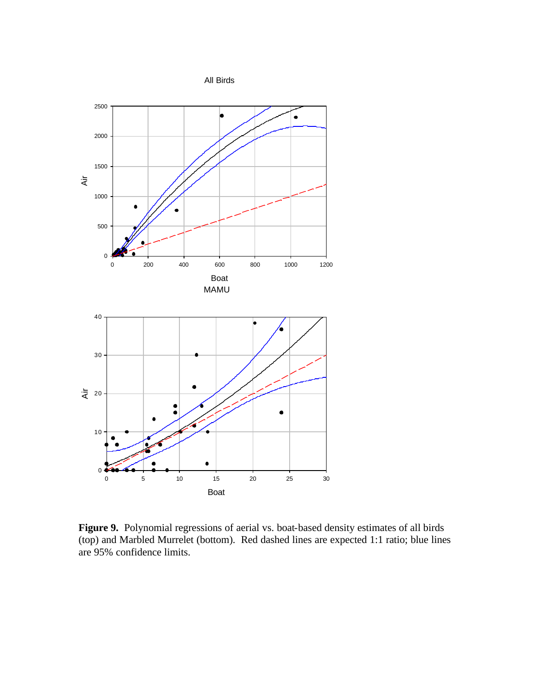All Birds



**Figure 9.** Polynomial regressions of aerial vs. boat-based density estimates of all birds (top) and Marbled Murrelet (bottom). Red dashed lines are expected 1:1 ratio; blue lines are 95% confidence limits.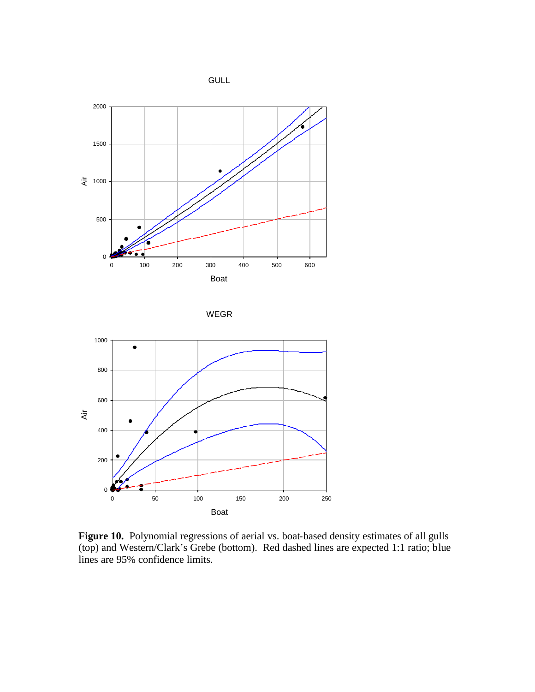







**Figure 10.** Polynomial regressions of aerial vs. boat-based density estimates of all gulls (top) and Western/Clark's Grebe (bottom). Red dashed lines are expected 1:1 ratio; blue lines are 95% confidence limits.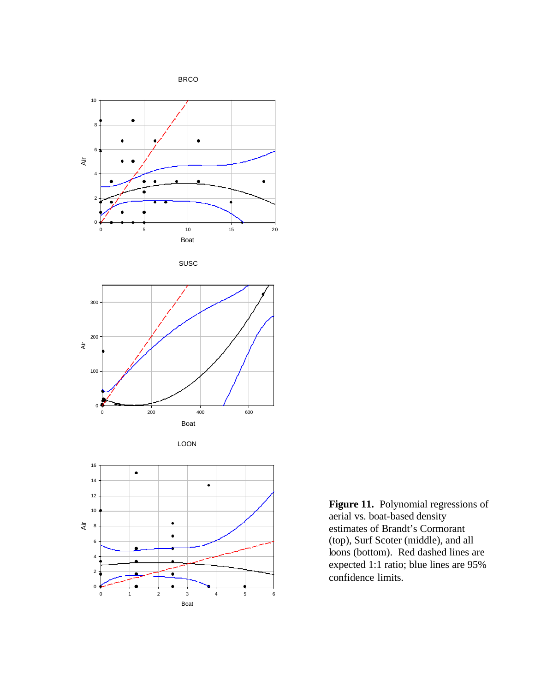

SUSC







**Figure 11.** Polynomial regressions of aerial vs. boat-based density estimates of Brandt's Cormorant (top), Surf Scoter (middle), and all loons (bottom). Red dashed lines are expected 1:1 ratio; blue lines are 95% confidence limits.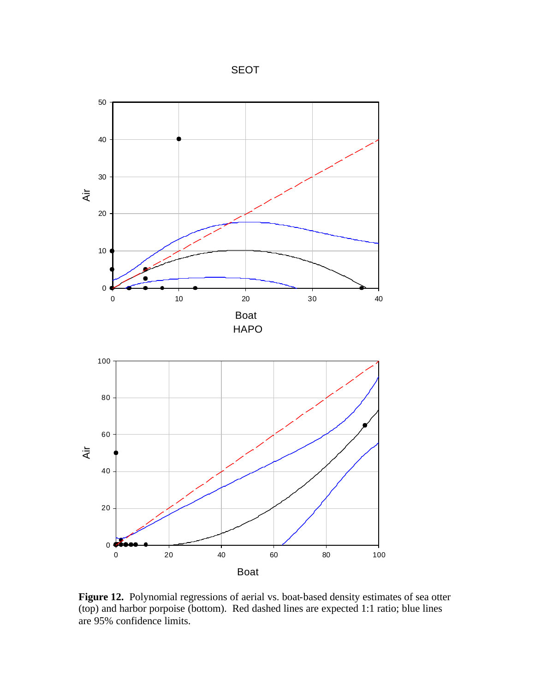SEOT



**Figure 12.** Polynomial regressions of aerial vs. boat-based density estimates of sea otter (top) and harbor porpoise (bottom). Red dashed lines are expected 1:1 ratio; blue lines are 95% confidence limits.